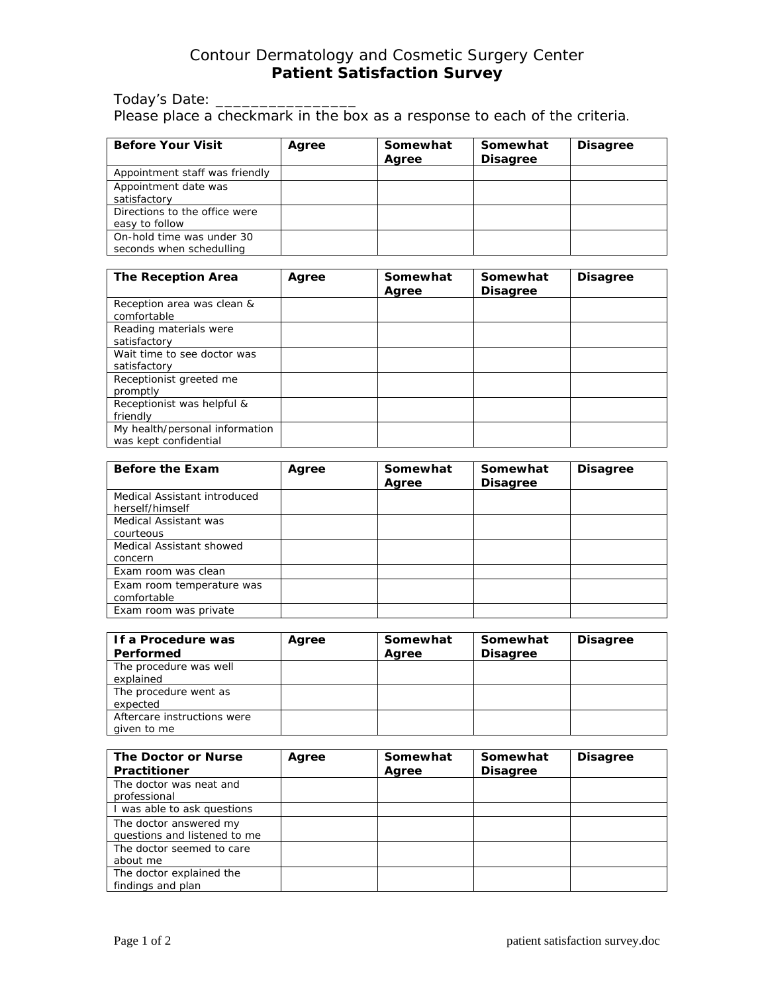## Contour Dermatology and Cosmetic Surgery Center **Patient Satisfaction Survey**

Today's Date: \_\_\_\_\_\_\_ Please place a checkmark in the box as a response to each of the criteria.

| <b>Before Your Visit</b>                              | Agree | Somewhat<br>Agree | Somewhat<br><b>Disagree</b> | <b>Disagree</b> |
|-------------------------------------------------------|-------|-------------------|-----------------------------|-----------------|
| Appointment staff was friendly                        |       |                   |                             |                 |
| Appointment date was<br>satisfactory                  |       |                   |                             |                 |
| Directions to the office were<br>easy to follow       |       |                   |                             |                 |
| On-hold time was under 30<br>seconds when schedulling |       |                   |                             |                 |

| <b>The Reception Area</b>                               | Agree | Somewhat<br>Agree | Somewhat<br><b>Disagree</b> | <b>Disagree</b> |
|---------------------------------------------------------|-------|-------------------|-----------------------------|-----------------|
| Reception area was clean &<br>comfortable               |       |                   |                             |                 |
| Reading materials were<br>satisfactory                  |       |                   |                             |                 |
| Wait time to see doctor was<br>satisfactory             |       |                   |                             |                 |
| Receptionist greeted me<br>promptly                     |       |                   |                             |                 |
| Receptionist was helpful &<br>friendly                  |       |                   |                             |                 |
| My health/personal information<br>was kept confidential |       |                   |                             |                 |

| <b>Before the Exam</b>                          | Agree | Somewhat<br>Agree | Somewhat<br><b>Disagree</b> | <b>Disagree</b> |
|-------------------------------------------------|-------|-------------------|-----------------------------|-----------------|
| Medical Assistant introduced<br>herself/himself |       |                   |                             |                 |
| Medical Assistant was<br>courteous              |       |                   |                             |                 |
| Medical Assistant showed<br>concern             |       |                   |                             |                 |
| Exam room was clean                             |       |                   |                             |                 |
| Exam room temperature was<br>comfortable        |       |                   |                             |                 |
| Exam room was private                           |       |                   |                             |                 |

| If a Procedure was          | Agree | Somewhat | Somewhat        | <b>Disagree</b> |
|-----------------------------|-------|----------|-----------------|-----------------|
| Performed                   |       | Agree    | <b>Disagree</b> |                 |
| The procedure was well      |       |          |                 |                 |
| explained                   |       |          |                 |                 |
| The procedure went as       |       |          |                 |                 |
| expected                    |       |          |                 |                 |
| Aftercare instructions were |       |          |                 |                 |
| given to me                 |       |          |                 |                 |

| The Doctor or Nurse<br><b>Practitioner</b>             | Agree | Somewhat<br>Agree | Somewhat<br><b>Disagree</b> | <b>Disagree</b> |
|--------------------------------------------------------|-------|-------------------|-----------------------------|-----------------|
| The doctor was neat and<br>professional                |       |                   |                             |                 |
| I was able to ask questions                            |       |                   |                             |                 |
| The doctor answered my<br>questions and listened to me |       |                   |                             |                 |
| The doctor seemed to care<br>about me                  |       |                   |                             |                 |
| The doctor explained the<br>findings and plan          |       |                   |                             |                 |